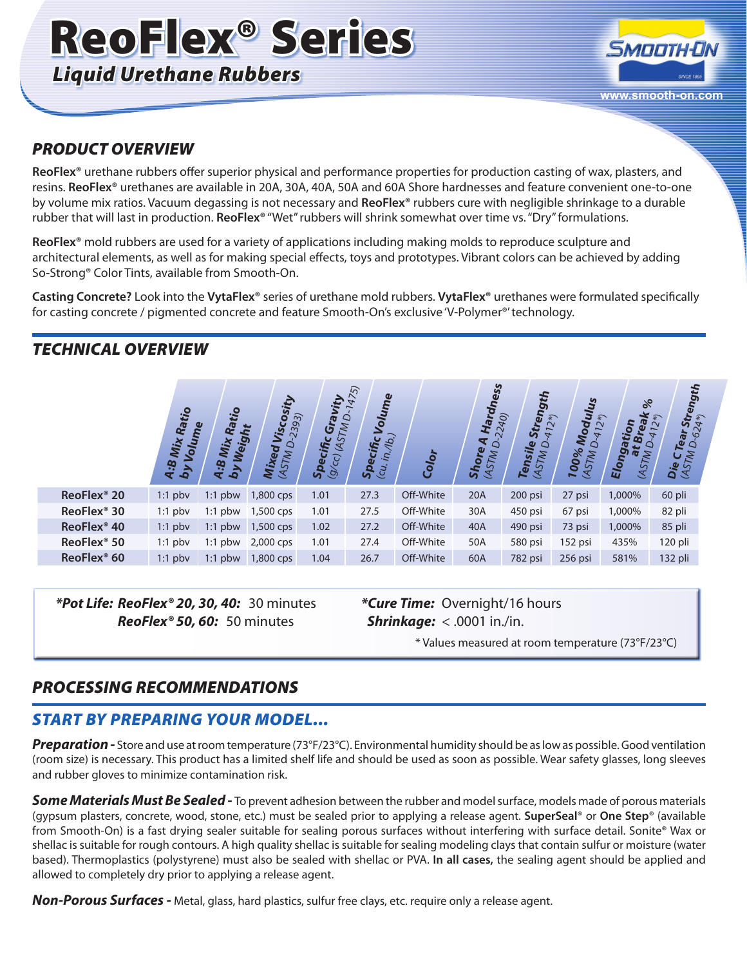## ReoFlex® Series *Liquid Urethane Rubbers*

# **SMOOTH-ON www.smooth-on.com**

### *PRODUCT OVERVIEW*

**ReoFlex®** urethane rubbers offer superior physical and performance properties for production casting of wax, plasters, and resins. **ReoFlex®** urethanes are available in 20A, 30A, 40A, 50A and 60A Shore hardnesses and feature convenient one-to-one by volume mix ratios. Vacuum degassing is not necessary and **ReoFlex®** rubbers cure with negligible shrinkage to a durable rubber that will last in production. **ReoFlex®** "Wet" rubbers will shrink somewhat over time vs. "Dry" formulations.

**ReoFlex®** mold rubbers are used for a variety of applications including making molds to reproduce sculpture and architectural elements, as well as for making special effects, toys and prototypes. Vibrant colors can be achieved by adding So-Strong® Color Tints, available from Smooth-On.

**Casting Concrete?** Look into the **VytaFlex®** series of urethane mold rubbers. **VytaFlex®** urethanes were formulated specifically for casting concrete / pigmented concrete and feature Smooth-On's exclusive 'V-Polymer<sup>®'</sup> technology.

#### *TECHNICAL OVERVIEW*

|                         | Ratio<br>Volume<br>Mix<br>A:B<br>by | tio<br>Weig<br>Mix<br><b>4.B</b><br>$\mathbf{b}$ | 2393)<br>Visco<br>₩<br>$\Delta$<br>Mixed<br><b>ASTM</b> | Gravity<br>$\Delta$<br><b>ASTM</b><br>$\frac{\textbf{Specific}}{\textbf{Q/CC}}$ (AS; | $\overline{5}$<br>Volume<br>(40)<br>Specific<br>in,<br>(cu | Color     | <b>Hardness</b><br>2240)<br>$\blacktriangledown$<br>Ó<br>Shore<br><b>ASTM</b> | tength<br>ら<br>$\overline{ }$<br>$\rightarrow$<br>$\circ$<br>Tensile<br>MSTM | <u> দ</u><br>Modul<br>$\widetilde{\sim}$<br>$412*)$<br>۵<br>00%<br><b>ASTM</b><br>► | $\%$<br>ωı<br>tion<br>w<br>Elong<br>MSTM<br>œ | Strength<br>624*)<br>$\widehat{\ast}$<br>$\sim$<br>$\overline{ }$<br>Tear<br>۵<br>Die C1<br>(AST <sub>M</sub> |
|-------------------------|-------------------------------------|--------------------------------------------------|---------------------------------------------------------|--------------------------------------------------------------------------------------|------------------------------------------------------------|-----------|-------------------------------------------------------------------------------|------------------------------------------------------------------------------|-------------------------------------------------------------------------------------|-----------------------------------------------|---------------------------------------------------------------------------------------------------------------|
| ReoFlex <sup>®</sup> 20 | $1:1$ pbv                           | $1:1$ pbw                                        | 1,800 cps                                               | 1.01                                                                                 | 27.3                                                       | Off-White | 20A                                                                           | 200 psi                                                                      | 27 psi                                                                              | 1,000%                                        | 60 pli                                                                                                        |
| ReoFlex <sup>®</sup> 30 | $1:1$ pbv                           | $1:1$ pbw                                        | 1,500 cps                                               | 1.01                                                                                 | 27.5                                                       | Off-White | 30A                                                                           | 450 psi                                                                      | 67 psi                                                                              | 1,000%                                        | 82 pli                                                                                                        |
| ReoFlex <sup>®</sup> 40 | $1:1$ pbv                           | $1:1$ pbw                                        | 1,500 cps                                               | 1.02                                                                                 | 27.2                                                       | Off-White | 40A                                                                           | 490 psi                                                                      | 73 psi                                                                              | 1,000%                                        | 85 pli                                                                                                        |
| ReoFlex <sup>®</sup> 50 | $1:1$ pbv                           | $1:1$ pbw                                        | 2,000 cps                                               | 1.01                                                                                 | 27.4                                                       | Off-White | 50A                                                                           | 580 psi                                                                      | 152 psi                                                                             | 435%                                          | $120$ pli                                                                                                     |
| ReoFlex <sup>®</sup> 60 | $1:1$ pbv                           | $1:1$ pbw                                        | 1,800 cps                                               | 1.04                                                                                 | 26.7                                                       | Off-White | 60A                                                                           | 782 psi                                                                      | 256 psi                                                                             | 581%                                          | 132 pli                                                                                                       |

*\*Pot Life: ReoFlex® 20, 30, 40:* 30 minutes *ReoFlex® 50, 60:* 50 minutes

*\*Cure Time:* Overnight/16 hours *Shrinkage:* < .0001 in./in.

\* Values measured at room temperature (73°F/23°C)

#### *PROCESSING RECOMMENDATIONS*

#### *START BY PREPARING YOUR MODEL...*

*Preparation -* Store and use at room temperature (73°F/23°C). Environmental humidity should be as low as possible. Good ventilation (room size) is necessary. This product has a limited shelf life and should be used as soon as possible. Wear safety glasses, long sleeves and rubber gloves to minimize contamination risk.

*Some Materials Must Be Sealed -* To prevent adhesion between the rubber and model surface, models made of porous materials (gypsum plasters, concrete, wood, stone, etc.) must be sealed prior to applying a release agent. **SuperSeal**® or **One Step**® (available from Smooth-On) is a fast drying sealer suitable for sealing porous surfaces without interfering with surface detail. Sonite® Wax or shellac is suitable for rough contours. A high quality shellac is suitable for sealing modeling clays that contain sulfur or moisture (water based). Thermoplastics (polystyrene) must also be sealed with shellac or PVA. **In all cases,** the sealing agent should be applied and allowed to completely dry prior to applying a release agent.

*Non-Porous Surfaces -* Metal, glass, hard plastics, sulfur free clays, etc. require only a release agent.